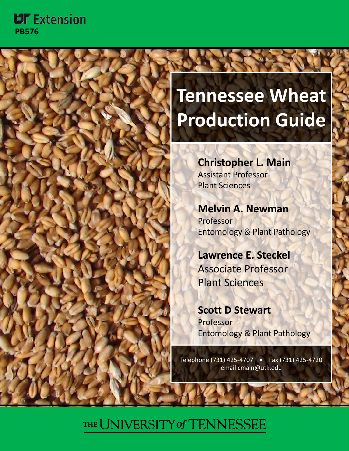## **UT** Extension **PB576**



# **Tennessee Wheat Production Guide**

**Christopher L. Main** Assistant Professor Plant Sciences

**Melvin A. Newman** Professor **Entomology & Plant Pathology** 

**Lawrence E. Steckel** Associate Professor **Plant Sciences** 

**Scott D Stewart** Professor Entomology & Plant Pathology

Telephone l p ( ) 731 425‐4707 • Fax (731) 425‐4720 email cmain@utk.edu

# THE UNIVERSITY of TENNESSEE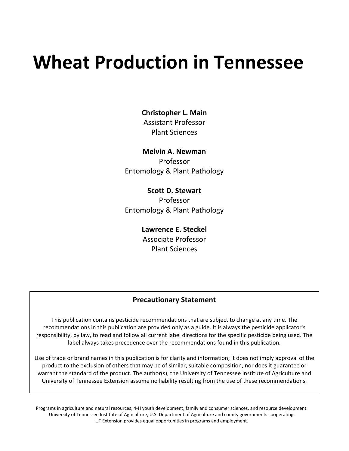# **Wheat Production in Tennessee**

**Christopher L. Main**

Assistant Professor Plant Sciences

**Melvin A. Newman** Professor Entomology & Plant Pathology

**Scott D. Stewart** Professor Entomology & Plant Pathology

> **Lawrence E. Steckel** Associate Professor Plant Sciences

#### **Precautionary Statement**

This publication contains pesticide recommendations that are subject to change at any time. The recommendations in this publication are provided only as a guide. It is always the pesticide applicator's responsibility, by law, to read and follow all current label directions for the specific pesticide being used. The label always takes precedence over the recommendations found in this publication.

Use of trade or brand names in this publication is for clarity and information; it does not imply approval of the product to the exclusion of others that may be of similar, suitable composition, nor does it guarantee or warrant the standard of the product. The author(s), the University of Tennessee Institute of Agriculture and University of Tennessee Extension assume no liability resulting from the use of these recommendations.

Programs in agriculture and natural resources, 4‐H youth development, family and consumer sciences, and resource development. University of Tennessee Institute of Agriculture, U.S. Department of Agriculture and county governments cooperating. UT Extension provides equal opportunities in programs and employment.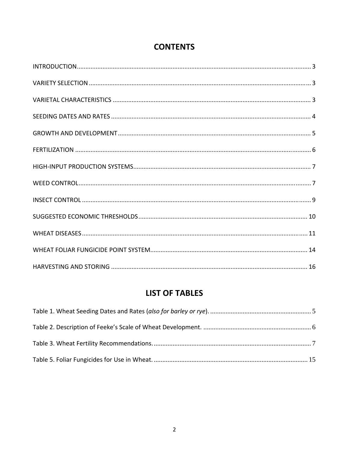### **CONTENTS**

### **LIST OF TABLES**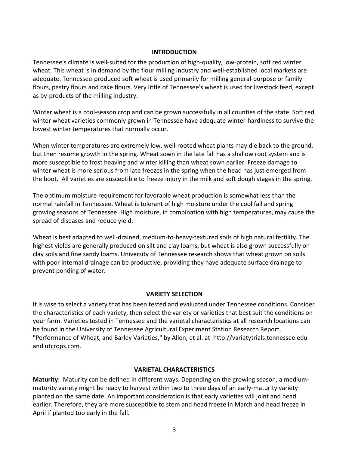#### **INTRODUCTION**

Tennessee's climate is well‐suited for the production of high‐quality, low‐protein, soft red winter wheat. This wheat is in demand by the flour milling industry and well-established local markets are adequate. Tennessee-produced soft wheat is used primarily for milling general-purpose or family flours, pastry flours and cake flours. Very little of Tennessee's wheat is used for livestock feed, except as by‐products of the milling industry.

Winter wheat is a cool-season crop and can be grown successfully in all counties of the state. Soft red winter wheat varieties commonly grown in Tennessee have adequate winter-hardiness to survive the lowest winter temperatures that normally occur.

When winter temperatures are extremely low, well‐rooted wheat plants may die back to the ground, but then resume growth in the spring. Wheat sown in the late fall has a shallow root system and is more susceptible to frost heaving and winter killing than wheat sown earlier. Freeze damage to winter wheat is more serious from late freezes in the spring when the head has just emerged from the boot. All varieties are susceptible to freeze injury in the milk and soft dough stages in the spring.

The optimum moisture requirement for favorable wheat production is somewhat less than the normal rainfall in Tennessee. Wheat is tolerant of high moisture under the cool fall and spring growing seasons of Tennessee. High moisture, in combination with high temperatures, may cause the spread of diseases and reduce yield.

Wheat is best adapted to well-drained, medium-to-heavy-textured soils of high natural fertility. The highest yields are generally produced on silt and clay loams, but wheat is also grown successfully on clay soils and fine sandy loams. University of Tennessee research shows that wheat grown on soils with poor internal drainage can be productive, providing they have adequate surface drainage to prevent ponding of water.

#### **VARIETY SELECTION**

It is wise to select a variety that has been tested and evaluated under Tennessee conditions. Consider the characteristics of each variety, then select the variety or varieties that best suit the conditions on your farm. Varieties tested in Tennessee and the varietal characteristics at all research locations can be found in the University of Tennessee Agricultural Experiment Station Research Report, "Performance of Wheat, and Barley Varieties," by Allen, et al. at http://varietytrials.tennessee.edu and utcrops.com.

#### **VARIETAL CHARACTERISTICS**

**Maturity:** Maturity can be defined in different ways. Depending on the growing season, a medium‐ maturity variety might be ready to harvest within two to three days of an early-maturity variety planted on the same date. An important consideration is that early varieties will joint and head earlier. Therefore, they are more susceptible to stem and head freeze in March and head freeze in April if planted too early in the fall.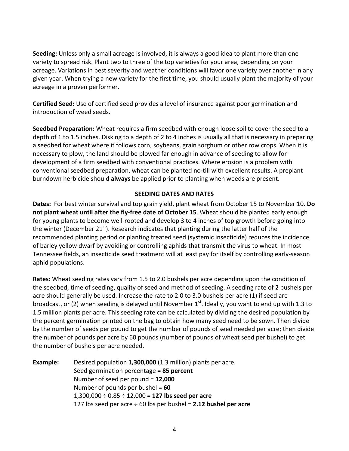**Seeding:** Unless only a small acreage is involved, it is always a good idea to plant more than one variety to spread risk. Plant two to three of the top varieties for your area, depending on your acreage. Variations in pest severity and weather conditions will favor one variety over another in any given year. When trying a new variety for the first time, you should usually plant the majority of your acreage in a proven performer.

**Certified Seed:** Use of certified seed provides a level of insurance against poor germination and introduction of weed seeds.

**Seedbed Preparation:** Wheat requires a firm seedbed with enough loose soil to cover the seed to a depth of 1 to 1.5 inches. Disking to a depth of 2 to 4 inches is usually all that is necessary in preparing a seedbed for wheat where it follows corn, soybeans, grain sorghum or other row crops. When it is necessary to plow, the land should be plowed far enough in advance of seeding to allow for development of a firm seedbed with conventional practices. Where erosion is a problem with conventional seedbed preparation, wheat can be planted no‐till with excellent results. A preplant burndown herbicide should **always** be applied prior to planting when weeds are present.

#### **SEEDING DATES AND RATES**

**Dates:** For best winter survival and top grain yield, plant wheat from October 15 to November 10. **Do not plant wheat until after the fly‐free date of October 15**. Wheat should be planted early enough for young plants to become well-rooted and develop 3 to 4 inches of top growth before going into the winter (December 21 $^{st}$ ). Research indicates that planting during the latter half of the recommended planting period or planting treated seed (systemic insecticide) reduces the incidence of barley yellow dwarf by avoiding or controlling aphids that transmit the virus to wheat. In most Tennessee fields, an insecticide seed treatment will at least pay for itself by controlling early‐season aphid populations.

**Rates:** Wheat seeding rates vary from 1.5 to 2.0 bushels per acre depending upon the condition of the seedbed, time of seeding, quality of seed and method of seeding. A seeding rate of 2 bushels per acre should generally be used. Increase the rate to 2.0 to 3.0 bushels per acre (1) if seed are broadcast, or (2) when seeding is delayed until November  $1<sup>st</sup>$ . Ideally, you want to end up with 1.3 to 1.5 million plants per acre. This seeding rate can be calculated by dividing the desired population by the percent germination printed on the bag to obtain how many seed need to be sown. Then divide by the number of seeds per pound to get the number of pounds of seed needed per acre; then divide the number of pounds per acre by 60 pounds (number of pounds of wheat seed per bushel) to get the number of bushels per acre needed.

**Example:** Desired population **1,300,000** (1.3 million) plants per acre. Seed germination percentage = **85 percent** Number of seed per pound = **12,000** Number of pounds per bushel = **60** 1,300,000 ÷ 0.85 ÷ 12,000 = **127 lbs seed per acre** 127 lbs seed per acre ÷ 60 lbs per bushel = **2.12 bushel per acre**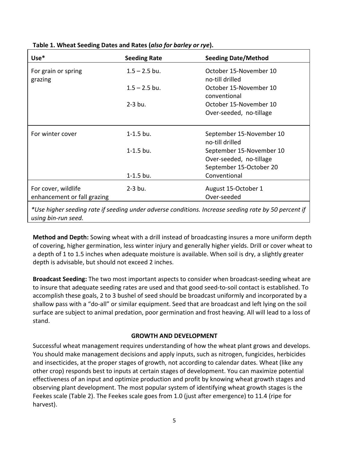| $Use*$                         | <b>Seeding Rate</b> | <b>Seeding Date/Method</b>                  |
|--------------------------------|---------------------|---------------------------------------------|
| For grain or spring<br>grazing | $1.5 - 2.5$ bu.     | October 15-November 10<br>no-till drilled   |
|                                | $1.5 - 2.5$ bu.     | October 15-November 10<br>conventional      |
|                                | $2-3$ bu.           | October 15-November 10                      |
|                                |                     | Over-seeded, no-tillage                     |
| For winter cover               | $1 - 1.5$ bu.       | September 15-November 10<br>no-till drilled |
|                                | $1 - 1.5$ bu.       | September 15-November 10                    |
|                                |                     | Over-seeded, no-tillage                     |
|                                |                     | September 15-October 20                     |
|                                | $1 - 1.5$ bu.       | Conventional                                |
| For cover, wildlife            | $2-3$ bu.           | August 15-October 1                         |
| enhancement or fall grazing    |                     | Over-seeded                                 |
|                                |                     |                                             |

**Table 1. Wheat Seeding Dates and Rates (***also for barley or rye***).**

*\*Use higher seeding rate if seeding under adverse conditions. Increase seeding rate by 50 percent if using bin‐run seed.*

**Method and Depth:** Sowing wheat with a drill instead of broadcasting insures a more uniform depth of covering, higher germination, less winter injury and generally higher yields. Drill or cover wheat to a depth of 1 to 1.5 inches when adequate moisture is available. When soil is dry, a slightly greater depth is advisable, but should not exceed 2 inches.

**Broadcast Seeding:** The two most important aspects to consider when broadcast‐seeding wheat are to insure that adequate seeding rates are used and that good seed‐to‐soil contact is established. To accomplish these goals, 2 to 3 bushel of seed should be broadcast uniformly and incorporated by a shallow pass with a "do‐all" or similar equipment. Seed that are broadcast and left lying on the soil surface are subject to animal predation, poor germination and frost heaving. All will lead to a loss of stand.

#### **GROWTH AND DEVELOPMENT**

Successful wheat management requires understanding of how the wheat plant grows and develops. You should make management decisions and apply inputs, such as nitrogen, fungicides, herbicides and insecticides, at the proper stages of growth, not according to calendar dates. Wheat (like any other crop) responds best to inputs at certain stages of development. You can maximize potential effectiveness of an input and optimize production and profit by knowing wheat growth stages and observing plant development. The most popular system of identifying wheat growth stages is the Feekes scale (Table 2). The Feekes scale goes from 1.0 (just after emergence) to 11.4 (ripe for harvest).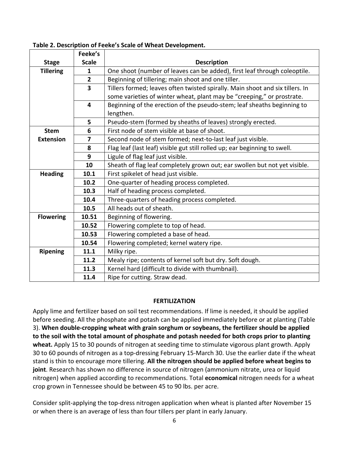|                  | Feeke's                 |                                                                               |  |  |  |  |
|------------------|-------------------------|-------------------------------------------------------------------------------|--|--|--|--|
| <b>Stage</b>     | <b>Scale</b>            | <b>Description</b>                                                            |  |  |  |  |
| <b>Tillering</b> | 1                       | One shoot (number of leaves can be added), first leaf through coleoptile.     |  |  |  |  |
|                  | $\overline{2}$          | Beginning of tillering; main shoot and one tiller.                            |  |  |  |  |
|                  | $\overline{\mathbf{3}}$ | Tillers formed; leaves often twisted spirally. Main shoot and six tillers. In |  |  |  |  |
|                  |                         | some varieties of winter wheat, plant may be "creeping," or prostrate.        |  |  |  |  |
|                  | 4                       | Beginning of the erection of the pseudo-stem; leaf sheaths beginning to       |  |  |  |  |
|                  |                         | lengthen.                                                                     |  |  |  |  |
|                  | 5                       | Pseudo-stem (formed by sheaths of leaves) strongly erected.                   |  |  |  |  |
| <b>Stem</b>      | 6                       | First node of stem visible at base of shoot.                                  |  |  |  |  |
| <b>Extension</b> | $\overline{7}$          | Second node of stem formed; next-to-last leaf just visible.                   |  |  |  |  |
|                  | 8                       | Flag leaf (last leaf) visible gut still rolled up; ear beginning to swell.    |  |  |  |  |
|                  | $\boldsymbol{9}$        | Ligule of flag leaf just visible.                                             |  |  |  |  |
|                  | 10                      | Sheath of flag leaf completely grown out; ear swollen but not yet visible.    |  |  |  |  |
| <b>Heading</b>   | 10.1                    | First spikelet of head just visible.                                          |  |  |  |  |
|                  | 10.2                    | One-quarter of heading process completed.                                     |  |  |  |  |
|                  | 10.3                    | Half of heading process completed.                                            |  |  |  |  |
|                  | 10.4                    | Three-quarters of heading process completed.                                  |  |  |  |  |
|                  | 10.5                    | All heads out of sheath.                                                      |  |  |  |  |
| <b>Flowering</b> | 10.51                   | Beginning of flowering.                                                       |  |  |  |  |
|                  | 10.52                   | Flowering complete to top of head.                                            |  |  |  |  |
|                  | 10.53                   | Flowering completed a base of head.                                           |  |  |  |  |
|                  | 10.54                   | Flowering completed; kernel watery ripe.                                      |  |  |  |  |
| <b>Ripening</b>  | 11.1                    | Milky ripe.                                                                   |  |  |  |  |
|                  | 11.2                    | Mealy ripe; contents of kernel soft but dry. Soft dough.                      |  |  |  |  |
|                  | 11.3                    | Kernel hard (difficult to divide with thumbnail).                             |  |  |  |  |
|                  | 11.4                    | Ripe for cutting. Straw dead.                                                 |  |  |  |  |

#### **Table 2. Description of Feeke's Scale of Wheat Development.**

#### **FERTILIZATION**

Apply lime and fertilizer based on soil test recommendations. If lime is needed, it should be applied before seeding. All the phosphate and potash can be applied immediately before or at planting (Table 3). **When double‐cropping wheat with grain sorghum or soybeans, the fertilizer should be applied to the soil with the total amount of phosphate and potash needed for both crops prior to planting wheat.** Apply 15 to 30 pounds of nitrogen at seeding time to stimulate vigorous plant growth. Apply 30 to 60 pounds of nitrogen as a top-dressing February 15-March 30. Use the earlier date if the wheat stand is thin to encourage more tillering. **All the nitrogen should be applied before wheat begins to joint**. Research has shown no difference in source of nitrogen (ammonium nitrate, urea or liquid nitrogen) when applied according to recommendations. Total **economical** nitrogen needs for a wheat crop grown in Tennessee should be between 45 to 90 lbs. per acre.

Consider split‐applying the top‐dress nitrogen application when wheat is planted after November 15 or when there is an average of less than four tillers per plant in early January.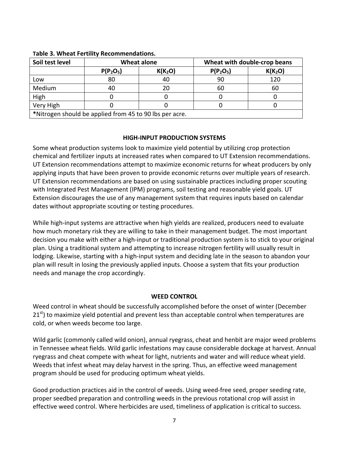| Soil test level                                         | <b>Wheat alone</b> |                     | Wheat with double-crop beans |                     |  |
|---------------------------------------------------------|--------------------|---------------------|------------------------------|---------------------|--|
|                                                         | $P(P_2O_5)$        | K(K <sub>2</sub> O) | $P(P_2O_5)$                  | K(K <sub>2</sub> O) |  |
| Low                                                     | 80                 | 40                  | 90                           | 120                 |  |
| Medium                                                  | 40                 | 20                  | 60                           | 60                  |  |
| High                                                    |                    |                     |                              |                     |  |
| Very High                                               |                    |                     |                              |                     |  |
| *Nitrogen should be applied from 45 to 90 lbs per acre. |                    |                     |                              |                     |  |

#### **Table 3. Wheat Fertility Recommendations.**

#### **HIGH‐INPUT PRODUCTION SYSTEMS**

Some wheat production systems look to maximize yield potential by utilizing crop protection chemical and fertilizer inputs at increased rates when compared to UT Extension recommendations. UT Extension recommendations attempt to maximize economic returns for wheat producers by only applying inputs that have been proven to provide economic returns over multiple years of research. UT Extension recommendations are based on using sustainable practices including proper scouting with Integrated Pest Management (IPM) programs, soil testing and reasonable yield goals. UT Extension discourages the use of any management system that requires inputs based on calendar dates without appropriate scouting or testing procedures.

While high-input systems are attractive when high yields are realized, producers need to evaluate how much monetary risk they are willing to take in their management budget. The most important decision you make with either a high‐input or traditional production system is to stick to your original plan. Using a traditional system and attempting to increase nitrogen fertility will usually result in lodging. Likewise, starting with a high‐input system and deciding late in the season to abandon your plan will result in losing the previously applied inputs. Choose a system that fits your production needs and manage the crop accordingly.

#### **WEED CONTROL**

Weed control in wheat should be successfully accomplished before the onset of winter (December  $21<sup>st</sup>$ ) to maximize yield potential and prevent less than acceptable control when temperatures are cold, or when weeds become too large.

Wild garlic (commonly called wild onion), annual ryegrass, cheat and henbit are major weed problems in Tennessee wheat fields. Wild garlic infestations may cause considerable dockage at harvest. Annual ryegrass and cheat compete with wheat for light, nutrients and water and will reduce wheat yield. Weeds that infest wheat may delay harvest in the spring. Thus, an effective weed management program should be used for producing optimum wheat yields.

Good production practices aid in the control of weeds. Using weed-free seed, proper seeding rate, proper seedbed preparation and controlling weeds in the previous rotational crop will assist in effective weed control. Where herbicides are used, timeliness of application is critical to success.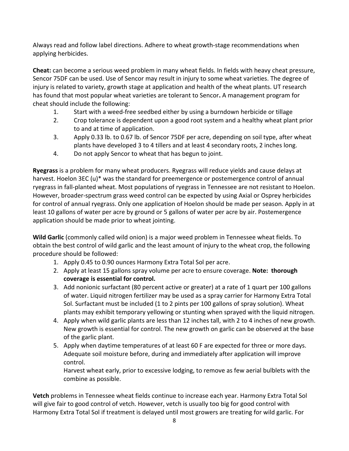Always read and follow label directions. Adhere to wheat growth‐stage recommendations when applying herbicides.

**Cheat:** can become a serious weed problem in many wheat fields. In fields with heavy cheat pressure, Sencor 75DF can be used. Use of Sencor may result in injury to some wheat varieties. The degree of injury is related to variety, growth stage at application and health of the wheat plants. UT research has found that most popular wheat varieties are tolerant to Sencor**.** A management program for cheat should include the following:

- 1. Start with a weed‐free seedbed either by using a burndown herbicide or tillage
- 2. Crop tolerance is dependent upon a good root system and a healthy wheat plant prior to and at time of application.
- 3. Apply 0.33 lb. to 0.67 lb. of Sencor 75DF per acre, depending on soil type, after wheat plants have developed 3 to 4 tillers and at least 4 secondary roots, 2 inches long.
- 4. Do not apply Sencor to wheat that has begun to joint.

**Ryegrass** is a problem for many wheat producers. Ryegrass will reduce yields and cause delays at harvest. Hoelon 3EC (u)\* was the standard for preemergence or postemergence control of annual ryegrass in fall‐planted wheat. Most populations of ryegrass in Tennessee are not resistant to Hoelon. However, broader‐spectrum grass weed control can be expected by using Axial or Osprey herbicides for control of annual ryegrass. Only one application of Hoelon should be made per season. Apply in at least 10 gallons of water per acre by ground or 5 gallons of water per acre by air. Postemergence application should be made prior to wheat jointing.

**Wild Garlic** (commonly called wild onion) is a major weed problem in Tennessee wheat fields. To obtain the best control of wild garlic and the least amount of injury to the wheat crop, the following procedure should be followed:

- 1. Apply 0.45 to 0.90 ounces Harmony Extra Total Sol per acre.
- 2. Apply at least 15 gallons spray volume per acre to ensure coverage. **Note: thorough coverage is essential for control.**
- 3. Add nonionic surfactant (80 percent active or greater) at a rate of 1 quart per 100 gallons of water. Liquid nitrogen fertilizer may be used as a spray carrier for Harmony Extra Total Sol. Surfactant must be included (1 to 2 pints per 100 gallons of spray solution). Wheat plants may exhibit temporary yellowing or stunting when sprayed with the liquid nitrogen.
- 4. Apply when wild garlic plants are less than 12 inches tall, with 2 to 4 inches of new growth. New growth is essential for control. The new growth on garlic can be observed at the base of the garlic plant.
- 5. Apply when daytime temperatures of at least 60 F are expected for three or more days. Adequate soil moisture before, during and immediately after application will improve control.

Harvest wheat early, prior to excessive lodging, to remove as few aerial bulblets with the combine as possible.

**Vetch** problems in Tennessee wheat fields continue to increase each year. Harmony Extra Total Sol will give fair to good control of vetch. However, vetch is usually too big for good control with Harmony Extra Total Sol if treatment is delayed until most growers are treating for wild garlic. For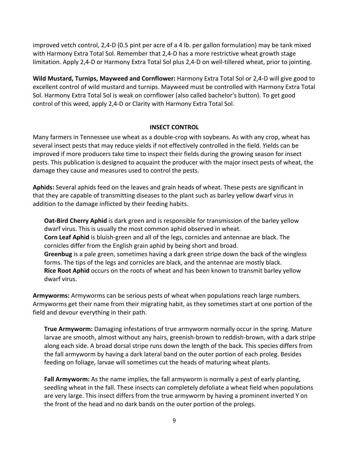improved vetch control, 2,4‐D (0.5 pint per acre of a 4 lb. per gallon formulation) may be tank mixed with Harmony Extra Total Sol. Remember that 2,4‐D has a more restrictive wheat growth stage limitation. Apply 2,4‐D or Harmony Extra Total Sol plus 2,4‐D on well‐tillered wheat, prior to jointing.

**Wild Mustard, Turnips, Mayweed and Cornflower:** Harmony Extra Total Sol or 2,4‐D will give good to excellent control of wild mustard and turnips. Mayweed must be controlled with Harmony Extra Total Sol. Harmony Extra Total Sol is weak on cornflower (also called bachelor's button). To get good control of this weed, apply 2,4‐D or Clarity with Harmony Extra Total Sol.

#### **INSECT CONTROL**

Many farmers in Tennessee use wheat as a double‐crop with soybeans. As with any crop, wheat has several insect pests that may reduce yields if not effectively controlled in the field. Yields can be improved if more producers take time to inspect their fields during the growing season for insect pests. This publication is designed to acquaint the producer with the major insect pests of wheat, the damage they cause and measures used to control the pests.

**Aphids:** Several aphids feed on the leaves and grain heads of wheat. These pests are significant in that they are capable of transmitting diseases to the plant such as barley yellow dwarf virus in addition to the damage inflicted by their feeding habits.

**Oat‐Bird Cherry Aphid** is dark green and is responsible for transmission of the barley yellow dwarf virus. This is usually the most common aphid observed in wheat. **Corn Leaf Aphid** is bluish‐green and all of the legs, cornicles and antennae are black. The cornicles differ from the English grain aphid by being short and broad. **Greenbug** is a pale green, sometimes having a dark green stripe down the back of the wingless forms. The tips of the legs and cornicles are black, and the antennae are mostly black. **Rice Root Aphid** occurs on the roots of wheat and has been known to transmit barley yellow dwarf virus.

**Armyworms:** Armyworms can be serious pests of wheat when populations reach large numbers. Armyworms get their name from their migrating habit, as they sometimes start at one portion of the field and devour everything in their path.

**True Armyworm:** Damaging infestations of true armyworm normally occur in the spring. Mature larvae are smooth, almost without any hairs, greenish‐brown to reddish‐brown, with a dark stripe along each side. A broad dorsal stripe runs down the length of the back. This species differs from the fall armyworm by having a dark lateral band on the outer portion of each proleg. Besides feeding on foliage, larvae will sometimes cut the heads of maturing wheat plants.

**Fall Armyworm:** As the name implies, the fall armyworm is normally a pest of early planting, seedling wheat in the fall. These insects can completely defoliate a wheat field when populations are very large. This insect differs from the true armyworm by having a prominent inverted Y on the front of the head and no dark bands on the outer portion of the prolegs.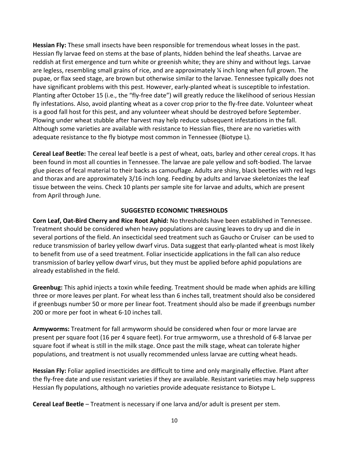**Hessian Fly:** These small insects have been responsible for tremendous wheat losses in the past. Hessian fly larvae feed on stems at the base of plants, hidden behind the leaf sheaths. Larvae are reddish at first emergence and turn white or greenish white; they are shiny and without legs. Larvae are legless, resembling small grains of rice, and are approximately ¼ inch long when full grown. The pupae, or flax seed stage, are brown but otherwise similar to the larvae. Tennessee typically does not have significant problems with this pest. However, early-planted wheat is susceptible to infestation. Planting after October 15 (i.e., the "fly‐free date") will greatly reduce the likelihood of serious Hessian fly infestations. Also, avoid planting wheat as a cover crop prior to the fly-free date. Volunteer wheat is a good fall host for this pest, and any volunteer wheat should be destroyed before September. Plowing under wheat stubble after harvest may help reduce subsequent infestations in the fall. Although some varieties are available with resistance to Hessian flies, there are no varieties with adequate resistance to the fly biotype most common in Tennessee (Biotype L).

**Cereal Leaf Beetle:** The cereal leaf beetle is a pest of wheat, oats, barley and other cereal crops. It has been found in most all counties in Tennessee. The larvae are pale yellow and soft‐bodied. The larvae glue pieces of fecal material to their backs as camouflage. Adults are shiny, black beetles with red legs and thorax and are approximately 3/16 inch long. Feeding by adults and larvae skeletonizes the leaf tissue between the veins. Check 10 plants per sample site for larvae and adults, which are present from April through June.

#### **SUGGESTED ECONOMIC THRESHOLDS**

**Corn Leaf, Oat‐Bird Cherry and Rice Root Aphid:** No thresholds have been established in Tennessee. Treatment should be considered when heavy populations are causing leaves to dry up and die in several portions of the field. An insecticidal seed treatment such as Gaucho or Cruiser can be used to reduce transmission of barley yellow dwarf virus. Data suggest that early‐planted wheat is most likely to benefit from use of a seed treatment. Foliar insecticide applications in the fall can also reduce transmission of barley yellow dwarf virus, but they must be applied before aphid populations are already established in the field.

**Greenbug:** This aphid injects a toxin while feeding. Treatment should be made when aphids are killing three or more leaves per plant. For wheat less than 6 inches tall, treatment should also be considered if greenbugs number 50 or more per linear foot. Treatment should also be made if greenbugs number 200 or more per foot in wheat 6‐10 inches tall.

**Armyworms:** Treatment for fall armyworm should be considered when four or more larvae are present per square foot (16 per 4 square feet). For true armyworm, use a threshold of 6‐8 larvae per square foot if wheat is still in the milk stage. Once past the milk stage, wheat can tolerate higher populations, and treatment is not usually recommended unless larvae are cutting wheat heads.

**Hessian Fly:** Foliar applied insecticides are difficult to time and only marginally effective. Plant after the fly‐free date and use resistant varieties if they are available. Resistant varieties may help suppress Hessian fly populations, although no varieties provide adequate resistance to Biotype L.

**Cereal Leaf Beetle** – Treatment is necessary if one larva and/or adult is present per stem.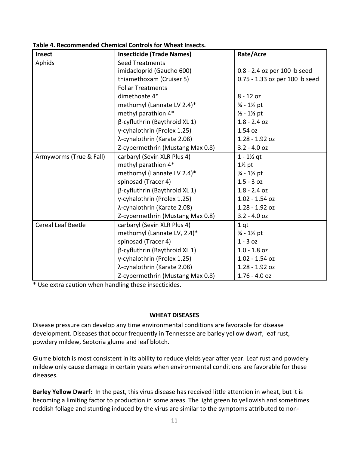| <b>Insect</b>             | <b>Insecticide (Trade Names)</b>     | Rate/Acre                      |
|---------------------------|--------------------------------------|--------------------------------|
| Aphids                    | Seed Treatments                      |                                |
|                           | imidacloprid (Gaucho 600)            | 0.8 - 2.4 oz per 100 lb seed   |
|                           | thiamethoxam (Cruiser 5)             | 0.75 - 1.33 oz per 100 lb seed |
|                           | <b>Foliar Treatments</b>             |                                |
|                           | dimethoate 4*                        | $8 - 12$ oz                    |
|                           | methomyl (Lannate LV 2.4)*           | $\frac{3}{4}$ - 1½ pt          |
|                           | methyl parathion 4*                  | $1/2 - 1/2$ pt                 |
|                           | $\beta$ -cyfluthrin (Baythroid XL 1) | $1.8 - 2.4$ oz                 |
|                           | γ-cyhalothrin (Prolex 1.25)          | 1.54 oz                        |
|                           | λ-cyhalothrin (Karate 2.08)          | $1.28 - 1.92$ oz               |
|                           | Z-cypermethrin (Mustang Max 0.8)     | $3.2 - 4.0$ oz                 |
| Armyworms (True & Fall)   | carbaryl (Sevin XLR Plus 4)          | $1 - 1\%$ qt                   |
|                           | methyl parathion 4*                  | $1\frac{1}{2}$ pt              |
|                           | methomyl (Lannate LV 2.4)*           | $\frac{3}{4}$ - 1½ pt          |
|                           | spinosad (Tracer 4)                  | $1.5 - 3 oz$                   |
|                           | $\beta$ -cyfluthrin (Baythroid XL 1) | $1.8 - 2.4$ oz                 |
|                           | γ-cyhalothrin (Prolex 1.25)          | $1.02 - 1.54$ oz               |
|                           | λ-cyhalothrin (Karate 2.08)          | $1.28 - 1.92$ oz               |
|                           | Z-cypermethrin (Mustang Max 0.8)     | $3.2 - 4.0$ oz                 |
| <b>Cereal Leaf Beetle</b> | carbaryl (Sevin XLR Plus 4)          | 1 <sub>qt</sub>                |
|                           | methomyl (Lannate LV, 2.4)*          | $\frac{3}{4}$ - 1½ pt          |
|                           | spinosad (Tracer 4)                  | $1 - 30z$                      |
|                           | $\beta$ -cyfluthrin (Baythroid XL 1) | $1.0 - 1.8$ oz                 |
|                           | γ-cyhalothrin (Prolex 1.25)          | $1.02 - 1.54$ oz               |
|                           | λ-cyhalothrin (Karate 2.08)          | $1.28 - 1.92$ oz               |
|                           | Z-cypermethrin (Mustang Max 0.8)     | $1.76 - 4.0$ oz                |

**Table 4. Recommended Chemical Controls for Wheat Insects.**

\* Use extra caution when handling these insecticides.

#### **WHEAT DISEASES**

Disease pressure can develop any time environmental conditions are favorable for disease development. Diseases that occur frequently in Tennessee are barley yellow dwarf, leaf rust, powdery mildew, Septoria glume and leaf blotch.

Glume blotch is most consistent in its ability to reduce yields year after year. Leaf rust and powdery mildew only cause damage in certain years when environmental conditions are favorable for these diseases.

**Barley Yellow Dwarf:** In the past, this virus disease has received little attention in wheat, but it is becoming a limiting factor to production in some areas. The light green to yellowish and sometimes reddish foliage and stunting induced by the virus are similar to the symptoms attributed to non‐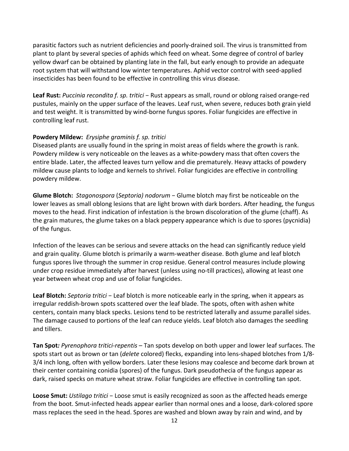parasitic factors such as nutrient deficiencies and poorly‐drained soil. The virus is transmitted from plant to plant by several species of aphids which feed on wheat. Some degree of control of barley yellow dwarf can be obtained by planting late in the fall, but early enough to provide an adequate root system that will withstand low winter temperatures. Aphid vector control with seed‐applied insecticides has been found to be effective in controlling this virus disease.

**Leaf Rust:** *Puccinia recondita f. sp. tritici* − Rust appears as small, round or oblong raised orange‐red pustules, mainly on the upper surface of the leaves. Leaf rust, when severe, reduces both grain yield and test weight. It is transmitted by wind‐borne fungus spores. Foliar fungicides are effective in controlling leaf rust.

#### **Powdery Mildew:** *Erysiphe graminis f. sp. tritici*

Diseased plants are usually found in the spring in moist areas of fields where the growth is rank. Powdery mildew is very noticeable on the leaves as a white‐powdery mass that often covers the entire blade. Later, the affected leaves turn yellow and die prematurely. Heavy attacks of powdery mildew cause plants to lodge and kernels to shrivel. Foliar fungicides are effective in controlling powdery mildew.

**Glume Blotch:** *Stagonospora* (*Septoria) nodorum* − Glume blotch may first be noticeable on the lower leaves as small oblong lesions that are light brown with dark borders. After heading, the fungus moves to the head. First indication of infestation is the brown discoloration of the glume (chaff). As the grain matures, the glume takes on a black peppery appearance which is due to spores (pycnidia) of the fungus.

Infection of the leaves can be serious and severe attacks on the head can significantly reduce yield and grain quality. Glume blotch is primarily a warm‐weather disease. Both glume and leaf blotch fungus spores live through the summer in crop residue. General control measures include plowing under crop residue immediately after harvest (unless using no‐till practices), allowing at least one year between wheat crop and use of foliar fungicides.

**Leaf Blotch:** *Septoria tritici* − Leaf blotch is more noticeable early in the spring, when it appears as irregular reddish‐brown spots scattered over the leaf blade. The spots, often with ashen white centers, contain many black specks. Lesions tend to be restricted laterally and assume parallel sides. The damage caused to portions of the leaf can reduce yields. Leaf blotch also damages the seedling and tillers.

**Tan Spot***: Pyrenophora tritici‐repentis* – Tan spots develop on both upper and lower leaf surfaces. The spots start out as brown or tan (*delete* colored) flecks, expanding into lens‐shaped blotches from 1/8‐ 3/4 inch long, often with yellow borders. Later these lesions may coalesce and become dark brown at their center containing conidia (spores) of the fungus. Dark pseudothecia of the fungus appear as dark, raised specks on mature wheat straw. Foliar fungicides are effective in controlling tan spot.

**Loose Smut:** *Ustilago tritici* − Loose smut is easily recognized as soon as the affected heads emerge from the boot. Smut‐infected heads appear earlier than normal ones and a loose, dark‐colored spore mass replaces the seed in the head. Spores are washed and blown away by rain and wind, and by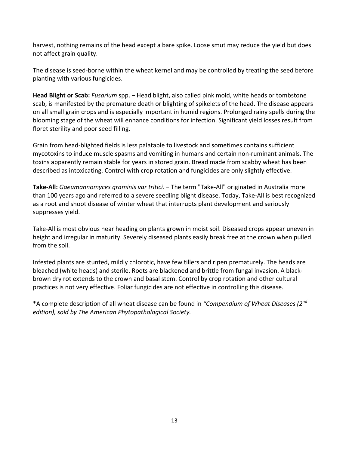harvest, nothing remains of the head except a bare spike. Loose smut may reduce the yield but does not affect grain quality.

The disease is seed-borne within the wheat kernel and may be controlled by treating the seed before planting with various fungicides.

**Head Blight or Scab:** *Fusarium* spp. − Head blight, also called pink mold, white heads or tombstone scab, is manifested by the premature death or blighting of spikelets of the head. The disease appears on all small grain crops and is especially important in humid regions. Prolonged rainy spells during the blooming stage of the wheat will enhance conditions for infection. Significant yield losses result from floret sterility and poor seed filling.

Grain from head‐blighted fields is less palatable to livestock and sometimes contains sufficient mycotoxins to induce muscle spasms and vomiting in humans and certain non‐ruminant animals. The toxins apparently remain stable for years in stored grain. Bread made from scabby wheat has been described as intoxicating. Control with crop rotation and fungicides are only slightly effective.

**Take‐All:** *Gaeumannomyces graminis var tritici.* − The term "Take‐All" originated in Australia more than 100 years ago and referred to a severe seedling blight disease. Today, Take‐All is best recognized as a root and shoot disease of winter wheat that interrupts plant development and seriously suppresses yield.

Take‐All is most obvious near heading on plants grown in moist soil. Diseased crops appear uneven in height and irregular in maturity. Severely diseased plants easily break free at the crown when pulled from the soil.

Infested plants are stunted, mildly chlorotic, have few tillers and ripen prematurely. The heads are bleached (white heads) and sterile. Roots are blackened and brittle from fungal invasion. A black‐ brown dry rot extends to the crown and basal stem. Control by crop rotation and other cultural practices is not very effective. Foliar fungicides are not effective in controlling this disease.

\*A complete description of all wheat disease can be found in *"Compendium of Wheat Diseases (2nd edition), sold by The American Phytopathological Society.*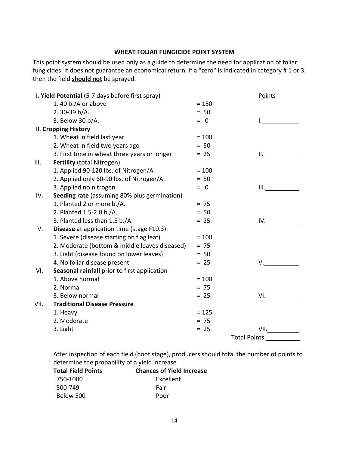#### **WHEAT FOLIAR FUNGICIDE POINT SYSTEM**

This point system should be used only as a guide to determine the need for application of foliar fungicides. It does not guarantee an economical return. If a "zero" is indicated in category # 1 or 3, then the field **should not** be sprayed.

|      | I. Yield Potential (5-7 days before first spray)  |         | <b>Points</b>       |  |  |
|------|---------------------------------------------------|---------|---------------------|--|--|
|      | 1.40 b./A or above                                | $= 150$ |                     |  |  |
|      | 2.30-39 b/A.                                      | $= 50$  |                     |  |  |
|      | 3. Below 30 b/A.                                  | $= 0$   |                     |  |  |
|      | II. Cropping History                              |         |                     |  |  |
|      | 1. Wheat in field last year                       | $= 100$ |                     |  |  |
|      | 2. Wheat in field two years ago                   | $= 50$  |                     |  |  |
|      | 3. First time in wheat three years or longer      | $= 25$  | II. San Antonio     |  |  |
| III. | <b>Fertility (total Nitrogen)</b>                 |         |                     |  |  |
|      | 1. Applied 90-120 lbs. of Nitrogen/A.             | $= 100$ |                     |  |  |
|      | 2. Applied only 60-90 lbs. of Nitrogen/A.         | $= 50$  |                     |  |  |
|      | 3. Applied no nitrogen                            | $= 0$   |                     |  |  |
| IV.  | Seeding rate (assuming 80% plus germination)      |         |                     |  |  |
|      | 1. Planted 2 or more b./A.                        | $= 75$  |                     |  |  |
|      | 2. Planted 1.5-2.0 b./A.                          | $= 50$  |                     |  |  |
|      | 3. Planted less than 1.5 b./A.                    | $= 25$  | IV.                 |  |  |
| V.   | <b>Disease</b> at application time (stage F10.3). |         |                     |  |  |
|      | 1. Severe (disease starting on flag leaf)         | $= 100$ |                     |  |  |
|      | 2. Moderate (bottom & middle leaves diseased)     | $= 75$  |                     |  |  |
|      | 3. Light (disease found on lower leaves)          | $= 50$  |                     |  |  |
|      | 4. No foliar disease present                      | $= 25$  | V.                  |  |  |
| VI.  | Seasonal rainfall prior to first application      |         |                     |  |  |
|      | 1. Above normal                                   | $= 100$ |                     |  |  |
|      | 2. Normal                                         | $= 75$  |                     |  |  |
|      | 3. Below normal                                   | $= 25$  | VI.                 |  |  |
| VII. | <b>Traditional Disease Pressure</b>               |         |                     |  |  |
|      | 1. Heavy                                          | $= 125$ |                     |  |  |
|      | 2. Moderate                                       | $= 75$  |                     |  |  |
|      | 3. Light                                          | $= 25$  | VII.                |  |  |
|      |                                                   |         | <b>Total Points</b> |  |  |

After inspection of each field (boot stage), producers should total the number of points to determine the probability of a yield increase

| <b>Total Field Points</b> | <b>Chances of Yield Increase</b> |
|---------------------------|----------------------------------|
| 750-1000                  | Excellent                        |
| 500-749                   | Fair                             |
| Below 500                 | Poor                             |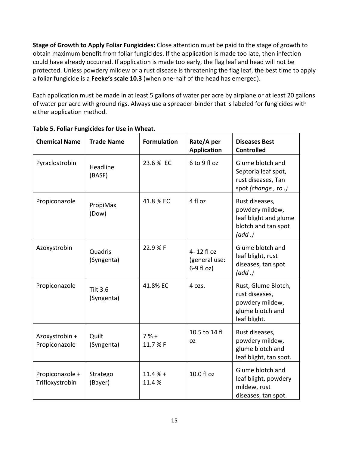**Stage of Growth to Apply Foliar Fungicides:** Close attention must be paid to the stage of growth to obtain maximum benefit from foliar fungicides. If the application is made too late, then infection could have already occurred. If application is made too early, the flag leaf and head will not be protected. Unless powdery mildew or a rust disease is threatening the flag leaf, the best time to apply a foliar fungicide is a **Feeke's scale 10.3** (when one‐half of the head has emerged).

Each application must be made in at least 5 gallons of water per acre by airplane or at least 20 gallons of water per acre with ground rigs. Always use a spreader‐binder that is labeled for fungicides with either application method.

| <b>Chemical Name</b>               | <b>Trade Name</b>             | <b>Formulation</b> | Rate/A per<br><b>Application</b>              | <b>Diseases Best</b><br><b>Controlled</b>                                                    |
|------------------------------------|-------------------------------|--------------------|-----------------------------------------------|----------------------------------------------------------------------------------------------|
| Pyraclostrobin                     | Headline<br>(BASF)            | 23.6 % EC          | 6 to 9 fl oz                                  | Glume blotch and<br>Septoria leaf spot,<br>rust diseases, Tan<br>spot (change, to.)          |
| Propiconazole                      | PropiMax<br>(Dow)             | 41.8 % EC          | 4 fl oz                                       | Rust diseases,<br>powdery mildew,<br>leaf blight and glume<br>blotch and tan spot<br>(add.)  |
| Azoxystrobin                       | Quadris<br>(Syngenta)         | 22.9 % F           | 4-12 fl oz<br>(general use:<br>$6-9$ fl $oz)$ | Glume blotch and<br>leaf blight, rust<br>diseases, tan spot<br>(add.)                        |
| Propiconazole                      | <b>Tilt 3.6</b><br>(Syngenta) | 41.8% EC           | 4 ozs.                                        | Rust, Glume Blotch,<br>rust diseases,<br>powdery mildew,<br>glume blotch and<br>leaf blight. |
| Azoxystrobin +<br>Propiconazole    | Quilt<br>(Syngenta)           | $7% +$<br>11.7 % F | 10.5 to 14 fl<br><b>OZ</b>                    | Rust diseases,<br>powdery mildew,<br>glume blotch and<br>leaf blight, tan spot.              |
| Propiconazole +<br>Trifloxystrobin | Stratego<br>(Bayer)           | $11.4% +$<br>11.4% | 10.0 fl oz                                    | Glume blotch and<br>leaf blight, powdery<br>mildew, rust<br>diseases, tan spot.              |

#### **Table 5. Foliar Fungicides for Use in Wheat.**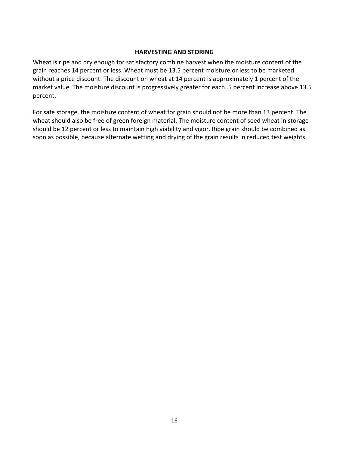#### **HARVESTING AND STORING**

Wheat is ripe and dry enough for satisfactory combine harvest when the moisture content of the grain reaches 14 percent or less. Wheat must be 13.5 percent moisture or less to be marketed without a price discount. The discount on wheat at 14 percent is approximately 1 percent of the market value. The moisture discount is progressively greater for each .5 percent increase above 13.5 percent.

For safe storage, the moisture content of wheat for grain should not be more than 13 percent. The wheat should also be free of green foreign material. The moisture content of seed wheat in storage should be 12 percent or less to maintain high viability and vigor. Ripe grain should be combined as soon as possible, because alternate wetting and drying of the grain results in reduced test weights.